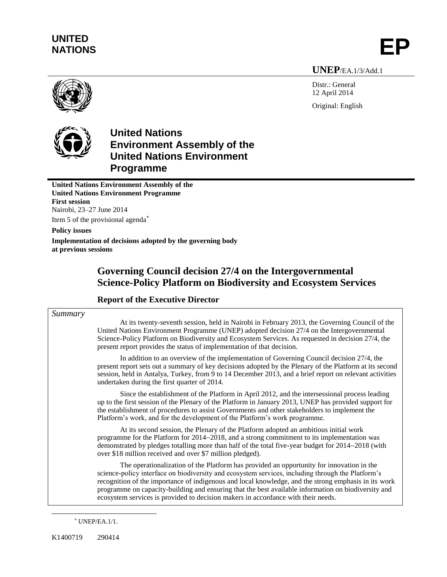# **UNITED** UNITED<br>NATIONS **EP**

**UNEP**/EA.1/3/Add.1

Distr.: General 12 April 2014 Original: English



**United Nations Environment Assembly of the United Nations Environment Programme**

**United Nations Environment Assembly of the United Nations Environment Programme First session** Nairobi, 23–27 June 2014 Item 5 of the provisional agenda

**Policy issues**

**Implementation of decisions adopted by the governing body at previous sessions** 

# **Governing Council decision 27/4 on the Intergovernmental Science-Policy Platform on Biodiversity and Ecosystem Services**

## **Report of the Executive Director**

### *Summary*

At its twenty-seventh session, held in Nairobi in February 2013, the Governing Council of the United Nations Environment Programme (UNEP) adopted decision 27/4 on the Intergovernmental Science-Policy Platform on Biodiversity and Ecosystem Services. As requested in decision 27/4, the present report provides the status of implementation of that decision.

In addition to an overview of the implementation of Governing Council decision 27/4, the present report sets out a summary of key decisions adopted by the Plenary of the Platform at its second session, held in Antalya, Turkey, from 9 to 14 December 2013, and a brief report on relevant activities undertaken during the first quarter of 2014.

Since the establishment of the Platform in April 2012, and the intersessional process leading up to the first session of the Plenary of the Platform in January 2013, UNEP has provided support for the establishment of procedures to assist Governments and other stakeholders to implement the Platform's work, and for the development of the Platform's work programme.

At its second session, the Plenary of the Platform adopted an ambitious initial work programme for the Platform for 2014–2018, and a strong commitment to its implementation was demonstrated by pledges totalling more than half of the total five-year budget for 2014–2018 (with over \$18 million received and over \$7 million pledged).

The operationalization of the Platform has provided an opportunity for innovation in the science-policy interface on biodiversity and ecosystem services, including through the Platform's recognition of the importance of indigenous and local knowledge, and the strong emphasis in its work programme on capacity-building and ensuring that the best available information on biodiversity and ecosystem services is provided to decision makers in accordance with their needs.

UNEP/EA.1/1.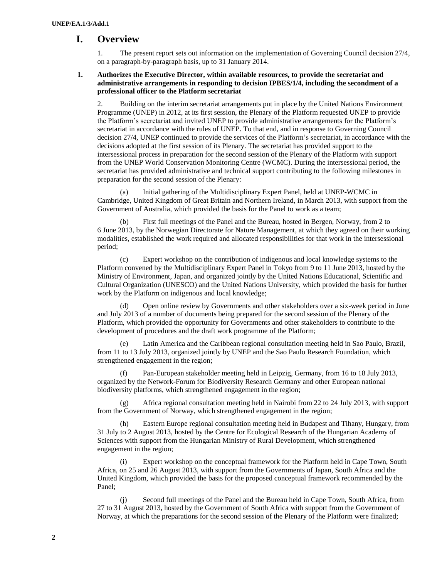## **I. Overview**

1. The present report sets out information on the implementation of Governing Council decision 27/4, on a paragraph-by-paragraph basis, up to 31 January 2014.

#### **1. Authorizes the Executive Director, within available resources, to provide the secretariat and administrative arrangements in responding to decision IPBES/1/4, including the secondment of a professional officer to the Platform secretariat**

2. Building on the interim secretariat arrangements put in place by the United Nations Environment Programme (UNEP) in 2012, at its first session, the Plenary of the Platform requested UNEP to provide the Platform's secretariat and invited UNEP to provide administrative arrangements for the Platform's secretariat in accordance with the rules of UNEP. To that end, and in response to Governing Council decision 27/4, UNEP continued to provide the services of the Platform's secretariat, in accordance with the decisions adopted at the first session of its Plenary. The secretariat has provided support to the intersessional process in preparation for the second session of the Plenary of the Platform with support from the UNEP World Conservation Monitoring Centre (WCMC). During the intersessional period, the secretariat has provided administrative and technical support contributing to the following milestones in preparation for the second session of the Plenary:

(a) Initial gathering of the Multidisciplinary Expert Panel, held at UNEP-WCMC in Cambridge, United Kingdom of Great Britain and Northern Ireland, in March 2013, with support from the Government of Australia, which provided the basis for the Panel to work as a team;

(b) Firs[t full meetings of the Panel and the](http://www.ipbes.net/events-feed/352-1st-full-mep-and-bureau-meeting-2.html) Bureau, hosted in Bergen, Norway, from 2 to 6 June 2013, by the Norwegian Directorate for Nature Management, at which they agreed on their working modalities, established the work required and allocated responsibilities for that work in the intersessional period;

Expert workshop on the contribution of [indigenous and local knowledge](http://www.ipbes.net/events-feed/353-expert-workshop-on-indigenous-and-local-knowledge-systems-to-ipbes-2.html) systems to the [Platform](http://www.ipbes.net/events-feed/353-expert-workshop-on-indigenous-and-local-knowledge-systems-to-ipbes-2.html) convened by the Multidisciplinary Expert Panel in Tokyo from 9 to 11 June 2013, hosted by the Ministry of Environment, Japan, and organized jointly by the United Nations Educational, Scientific and Cultural Organization (UNESCO) and the United Nations University, which provided the basis for further work by the Platform on indigenous and local knowledge;

(d) Open online review by Governments and other stakeholders over a six-week period in June and July 2013 of a number of documents being prepared for the second session of the Plenary of the Platform, which provided the opportunity for Governments and other stakeholders to contribute to the development of procedures and the draft work programme of the Platform;

(e) [Latin America and the Caribbean regional consultation meeting](http://www.ipbes.net/events-feed/358-lac-regional-consultation-meeting.html) held in Sao Paulo, Brazil, from 11 to 13 July 2013, organized jointly by UNEP and the Sao Paulo Research Foundation, which strengthened engagement in the region;

(f) [Pan-European stakeholder meeting](http://ipbes.net/events-feed/362-pan-eur-stakeholder-meeting.html) held in Leipzig, Germany, from 16 to 18 July 2013, organized by the Network-Forum for Biodiversity Research Germany and other European national biodiversity platforms, which strengthened engagement in the region;

(g) [Africa regional consultation meeting](http://ipbes.net/events-feed/364-afr-regional-consultations.html) held in Nairobi from 22 to 24 July 2013, with support from the Government of Norway, which strengthened engagement in the region;

(h) [Eastern Europe regional consultation meeting](http://ipbes.net/events-feed/363-eastern-eu-regional-consultation.html) held in Budapest and Tihany, Hungary, from 31 July to 2 August 2013, hosted by the Centre for Ecological Research of the Hungarian Academy of Sciences with support from the Hungarian Ministry of Rural Development, which strengthened engagement in the region;

(i) [Expert workshop on the conceptual framework for the Platform](http://ipbes.net/events-feed/373-expertworkshop-conceptual-framework-ipbes.html) held in Cape Town, South Africa, on 25 and 26 August 2013, with support from the Governments of Japan, South Africa and the United Kingdom, which provided the basis for the proposed conceptual framework recommended by the Panel;

(j) Second full [meetings of the Panel](http://www.ipbes.net/events-feed/397-capetown.html) and the Bureau held in Cape Town, South Africa, from 27 to 31 August 2013, hosted by the Government of South Africa with support from the Government of Norway, at which the preparations for the second session of the Plenary of the Platform were finalized;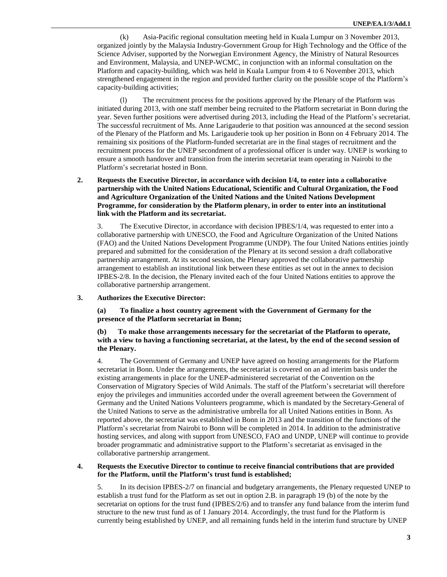(k) [Asia-Pacific regional consultation meeting](http://www.ipbes.net/events-feed/416-apconsultation.html) held in Kuala Lumpur on 3 November 2013, organized jointly by the Malaysia Industry-Government Group for High Technology and the Office of the Science Adviser, supported by the Norwegian Environment Agency, the Ministry of Natural Resources and Environment, Malaysia, and UNEP-WCMC, in conjunction with an [informal consultation on the](http://www.ipbes.net/events-feed/418-informal-consultation-on-ipbes-and-capacity-building.html)  [Platform and capacity-building,](http://www.ipbes.net/events-feed/418-informal-consultation-on-ipbes-and-capacity-building.html) which was held in Kuala Lumpur from 4 to 6 November 2013, which strengthened engagement in the region and provided further clarity on the possible scope of the Platform's capacity-building activities;

(l) The recruitment process for the positions approved by the Plenary of the Platform was initiated during 2013, with one staff member being recruited to the Platform secretariat in Bonn during the year. Seven further positions were advertised during 2013, including the Head of the Platform's secretariat. The successful recruitment of Ms. Anne Larigauderie to that position was announced at the second session of the Plenary of the Platform and Ms. Larigauderie took up her position in Bonn on 4 February 2014. The remaining six positions of the Platform-funded secretariat are in the final stages of recruitment and the recruitment process for the UNEP secondment of a professional officer is under way. UNEP is working to ensure a smooth handover and transition from the interim secretariat team operating in Nairobi to the Platform's secretariat hosted in Bonn.

**2. Requests the Executive Director, in accordance with decision I/4, to enter into a collaborative partnership with the United Nations Educational, Scientific and Cultural Organization, the Food and Agriculture Organization of the United Nations and the United Nations Development Programme, for consideration by the Platform plenary, in order to enter into an institutional link with the Platform and its secretariat.**

3. The Executive Director, in accordance with decision IPBES/1/4, was requested to enter into a collaborative partnership with UNESCO, the Food and Agriculture Organization of the United Nations (FAO) and the United Nations Development Programme (UNDP). The four United Nations entities jointly prepared and submitted for the consideration of the Plenary at its second session a draft collaborative partnership arrangement. At its second session, the Plenary approved the collaborative partnership arrangement to establish an institutional link between these entities as set out in the annex to decision IPBES-2/8. In the decision, the Plenary invited each of the four United Nations entities to approve the collaborative partnership arrangement.

#### **3. Authorizes the Executive Director:**

**(a) To finalize a host country agreement with the Government of Germany for the presence of the Platform secretariat in Bonn;**

**(b) To make those arrangements necessary for the secretariat of the Platform to operate, with a view to having a functioning secretariat, at the latest, by the end of the second session of the Plenary.**

4. The Government of Germany and UNEP have agreed on hosting arrangements for the Platform secretariat in Bonn. Under the arrangements, the secretariat is covered on an ad interim basis under the existing arrangements in place for the UNEP-administered secretariat of the Convention on the Conservation of Migratory Species of Wild Animals. The staff of the Platform's secretariat will therefore enjoy the privileges and immunities accorded under the overall agreement between the Government of Germany and the United Nations Volunteers programme, which is mandated by the Secretary-General of the United Nations to serve as the administrative umbrella for all United Nations entities in Bonn. As reported above, the secretariat was established in Bonn in 2013 and the transition of the functions of the Platform's secretariat from Nairobi to Bonn will be completed in 2014. In addition to the administrative hosting services, and along with support from UNESCO, FAO and UNDP, UNEP will continue to provide broader programmatic and administrative support to the Platform's secretariat as envisaged in the collaborative partnership arrangement.

#### **4. Requests the Executive Director to continue to receive financial contributions that are provided for the Platform, until the Platform's trust fund is established;**

5. In its decision IPBES-2/7 on financial and budgetary arrangements, the Plenary requested UNEP to establish a trust fund for the Platform as set out in option 2.B. in paragraph 19 (b) of the note by the secretariat on options for the trust fund (IPBES/2/6) and to transfer any fund balance from the interim fund structure to the new trust fund as of 1 January 2014. Accordingly, the trust fund for the Platform is currently being established by UNEP, and all remaining funds held in the interim fund structure by UNEP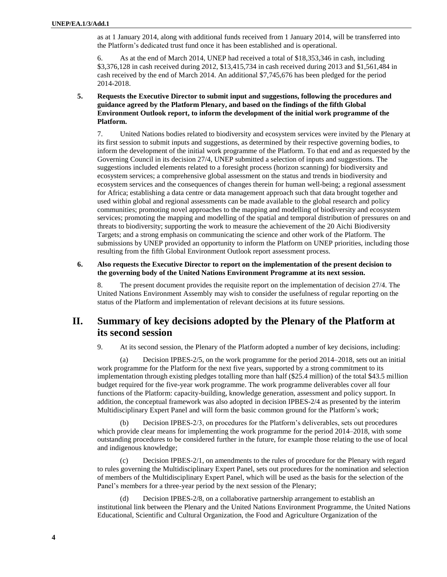as at 1 January 2014, along with additional funds received from 1 January 2014, will be transferred into the Platform's dedicated trust fund once it has been established and is operational.

6. As at the end of March 2014, UNEP had received a total of \$18,353,346 in cash, including \$3,376,128 in cash received during 2012, \$13,415,734 in cash received during 2013 and \$1,561,484 in cash received by the end of March 2014. An additional \$7,745,676 has been pledged for the period 2014-2018.

**5. Requests the Executive Director to submit input and suggestions, following the procedures and guidance agreed by the Platform Plenary, and based on the findings of the fifth Global Environment Outlook report, to inform the development of the initial work programme of the Platform.**

7. United Nations bodies related to biodiversity and ecosystem services were invited by the Plenary at its first session to submit inputs and suggestions, as determined by their respective governing bodies, to inform the development of the initial work programme of the Platform. To that end and as requested by the Governing Council in its decision 27/4, UNEP submitted a selection of inputs and suggestions. The suggestions included elements related to a foresight process (horizon scanning) for biodiversity and ecosystem services; a comprehensive global assessment on the status and trends in biodiversity and ecosystem services and the consequences of changes therein for human well-being; a regional assessment for Africa; establishing a data centre or data management approach such that data brought together and used within global and regional assessments can be made available to the global research and policy communities; promoting novel approaches to the mapping and modelling of biodiversity and ecosystem services; promoting the mapping and modelling of the spatial and temporal distribution of pressures on and threats to biodiversity; supporting the work to measure the achievement of the 20 Aichi Biodiversity Targets; and a strong emphasis on communicating the science and other work of the Platform. The submissions by UNEP provided an opportunity to inform the Platform on UNEP priorities, including those resulting from the fifth Global Environment Outlook report assessment process.

#### **6. Also requests the Executive Director to report on the implementation of the present decision to the governing body of the United Nations Environment Programme at its next session.**

8. The present document provides the requisite report on the implementation of decision 27/4. The United Nations Environment Assembly may wish to consider the usefulness of regular reporting on the status of the Platform and implementation of relevant decisions at its future sessions.

## **II. Summary of key decisions adopted by the Plenary of the Platform at its second session**

9. At its second session, the Plenary of the Platform adopted a number of key decisions, including:

(a) Decision IPBES-2/5, on the work programme for the period 2014–2018, sets out an initial work programme for the Platform for the next five years, supported by a strong commitment to its implementation through existing pledges totalling more than half (\$25.4 million) of the total \$43.5 million budget required for the five-year work programme. The work programme deliverables cover all four functions of the Platform: capacity-building, knowledge generation, assessment and policy support. In addition, the conceptual framework was also adopted in decision IPBES-2/4 as presented by the interim Multidisciplinary Expert Panel and will form the basic common ground for the Platform's work;

(b) Decision IPBES-2/3, on procedures for the Platform's deliverables, sets out procedures which provide clear means for implementing the work programme for the period 2014–2018, with some outstanding procedures to be considered further in the future, for example those relating to the use of local and indigenous knowledge;

(c) Decision IPBES-2/1, on amendments to the rules of procedure for the Plenary with regard to rules governing the Multidisciplinary Expert Panel, sets out procedures for the nomination and selection of members of the Multidisciplinary Expert Panel, which will be used as the basis for the selection of the Panel's members for a three-year period by the next session of the Plenary;

(d) Decision IPBES-2/8, on a collaborative partnership arrangement to establish an institutional link between the Plenary and the United Nations Environment Programme, the United Nations Educational, Scientific and Cultural Organization, the Food and Agriculture Organization of the